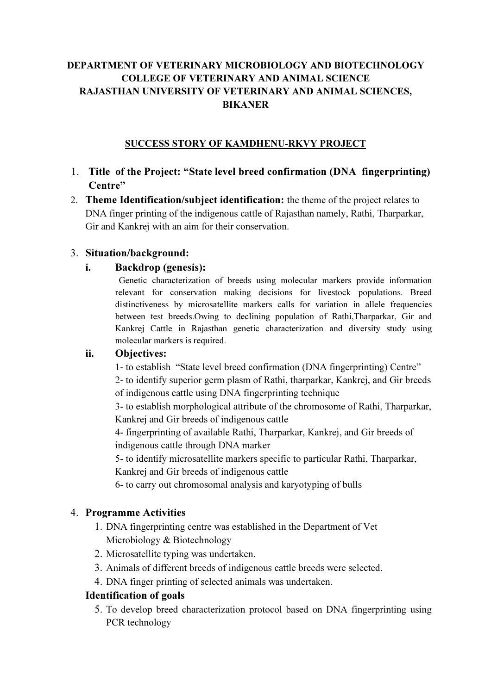# DEPARTMENT OF VETERINARY MICROBIOLOGY AND BIOTECHNOLOGY COLLEGE OF VETERINARY AND ANIMAL SCIENCE RAJASTHAN UNIVERSITY OF VETERINARY AND ANIMAL SCIENCES, BIKANER

## SUCCESS STORY OF KAMDHENU-RKVY PROJECT

- 1. Title of the Project: "State level breed confirmation (DNA fingerprinting) Centre"
- 2. Theme Identification/subject identification: the theme of the project relates to DNA finger printing of the indigenous cattle of Rajasthan namely, Rathi, Tharparkar, Gir and Kankrej with an aim for their conservation.

### 3. Situation/background:

### i. Backdrop (genesis):

Genetic characterization of breeds using molecular markers provide information relevant for conservation making decisions for livestock populations. Breed distinctiveness by microsatellite markers calls for variation in allele frequencies between test breeds.Owing to declining population of Rathi,Tharparkar, Gir and Kankrej Cattle in Rajasthan genetic characterization and diversity study using molecular markers is required.

## ii. Objectives:

1- to establish "State level breed confirmation (DNA fingerprinting) Centre"

2- to identify superior germ plasm of Rathi, tharparkar, Kankrej, and Gir breeds of indigenous cattle using DNA fingerprinting technique

3- to establish morphological attribute of the chromosome of Rathi, Tharparkar, Kankrej and Gir breeds of indigenous cattle

4- fingerprinting of available Rathi, Tharparkar, Kankrej, and Gir breeds of indigenous cattle through DNA marker

5- to identify microsatellite markers specific to particular Rathi, Tharparkar, Kankrej and Gir breeds of indigenous cattle

6- to carry out chromosomal analysis and karyotyping of bulls

#### 4. Programme Activities

- 1. DNA fingerprinting centre was established in the Department of Vet Microbiology & Biotechnology
- 2. Microsatellite typing was undertaken.
- 3. Animals of different breeds of indigenous cattle breeds were selected.
- 4. DNA finger printing of selected animals was undertaken.

## Identification of goals

5. To develop breed characterization protocol based on DNA fingerprinting using PCR technology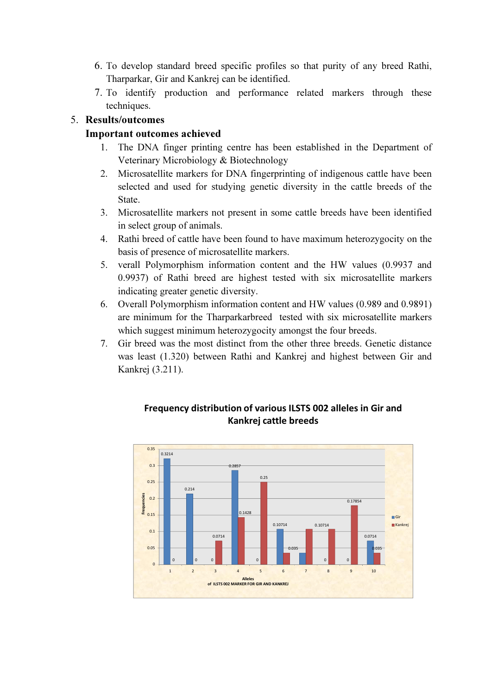- 6. To develop standard breed specific profiles so that purity of any breed Rathi, Tharparkar, Gir and Kankrej can be identified.
- 7. To identify production and performance related markers through these techniques.

## 5. Results/outcomes

# Important outcomes achieved

- 1. The DNA finger printing centre has been established in the Department of Veterinary Microbiology & Biotechnology
- 2. Microsatellite markers for DNA fingerprinting of indigenous cattle have been selected and used for studying genetic diversity in the cattle breeds of the State.
- 3. Microsatellite markers not present in some cattle breeds have been identified in select group of animals.
- 4. Rathi breed of cattle have been found to have maximum heterozygocity on the basis of presence of microsatellite markers.
- 5. verall Polymorphism information content and the HW values (0.9937 and 0.9937) of Rathi breed are highest tested with six microsatellite markers indicating greater genetic diversity.
- 6. Overall Polymorphism information content and HW values (0.989 and 0.9891) are minimum for the Tharparkarbreed tested with six microsatellite markers which suggest minimum heterozygocity amongst the four breeds.
- 7. Gir breed was the most distinct from the other three breeds. Genetic distance was least (1.320) between Rathi and Kankrej and highest between Gir and Kankrej (3.211).



## Frequency distribution of various ILSTS 002 alleles in Gir and Kankrej cattle breeds